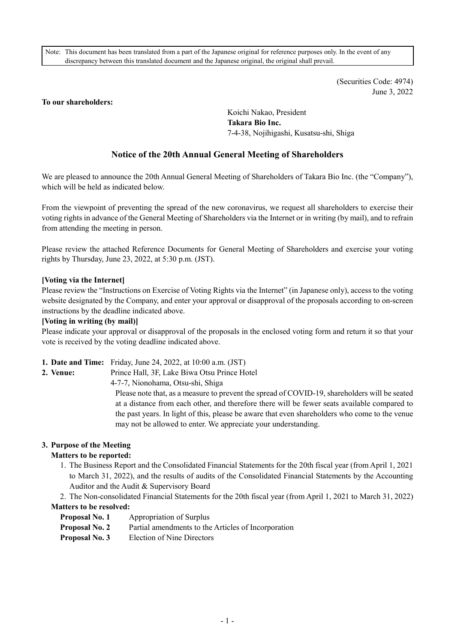Note: This document has been translated from a part of the Japanese original for reference purposes only. In the event of any discrepancy between this translated document and the Japanese original, the original shall prevail.

> (Securities Code: 4974) June 3, 2022

### **To our shareholders:**

Koichi Nakao, President **Takara Bio Inc.**  7-4-38, Nojihigashi, Kusatsu-shi, Shiga

# **Notice of the 20th Annual General Meeting of Shareholders**

We are pleased to announce the 20th Annual General Meeting of Shareholders of Takara Bio Inc. (the "Company"), which will be held as indicated below.

From the viewpoint of preventing the spread of the new coronavirus, we request all shareholders to exercise their voting rights in advance of the General Meeting of Shareholders via the Internet or in writing (by mail), and to refrain from attending the meeting in person.

Please review the attached Reference Documents for General Meeting of Shareholders and exercise your voting rights by Thursday, June 23, 2022, at 5:30 p.m. (JST).

### **[Voting via the Internet]**

Please review the "Instructions on Exercise of Voting Rights via the Internet" (in Japanese only), access to the voting website designated by the Company, and enter your approval or disapproval of the proposals according to on-screen instructions by the deadline indicated above.

### **[Voting in writing (by mail)]**

Please indicate your approval or disapproval of the proposals in the enclosed voting form and return it so that your vote is received by the voting deadline indicated above.

**1. Date and Time:** Friday, June 24, 2022, at 10:00 a.m. (JST)

**2. Venue:** Prince Hall, 3F, Lake Biwa Otsu Prince Hotel 4-7-7, Nionohama, Otsu-shi, Shiga

> Please note that, as a measure to prevent the spread of COVID-19, shareholders will be seated at a distance from each other, and therefore there will be fewer seats available compared to the past years. In light of this, please be aware that even shareholders who come to the venue may not be allowed to enter. We appreciate your understanding.

### **3. Purpose of the Meeting**

### **Matters to be reported:**

1. The Business Report and the Consolidated Financial Statements for the 20th fiscal year (from April 1, 2021 to March 31, 2022), and the results of audits of the Consolidated Financial Statements by the Accounting Auditor and the Audit & Supervisory Board

2. The Non-consolidated Financial Statements for the 20th fiscal year (from April 1, 2021 to March 31, 2022) **Matters to be resolved:** 

- **Proposal No. 1** Appropriation of Surplus
- **Proposal No. 2** Partial amendments to the Articles of Incorporation
- **Proposal No. 3** Election of Nine Directors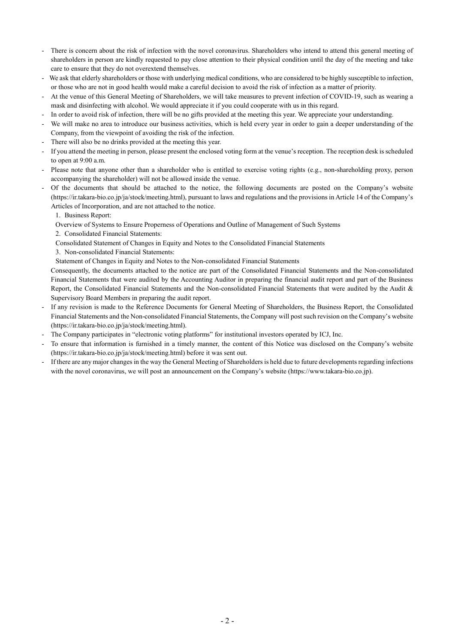- There is concern about the risk of infection with the novel coronavirus. Shareholders who intend to attend this general meeting of shareholders in person are kindly requested to pay close attention to their physical condition until the day of the meeting and take care to ensure that they do not overextend themselves.
- We ask that elderly shareholders or those with underlying medical conditions, who are considered to be highly susceptible to infection, or those who are not in good health would make a careful decision to avoid the risk of infection as a matter of priority.
- At the venue of this General Meeting of Shareholders, we will take measures to prevent infection of COVID-19, such as wearing a mask and disinfecting with alcohol. We would appreciate it if you could cooperate with us in this regard.
- In order to avoid risk of infection, there will be no gifts provided at the meeting this year. We appreciate your understanding.
- We will make no area to introduce our business activities, which is held every year in order to gain a deeper understanding of the Company, from the viewpoint of avoiding the risk of the infection.
- There will also be no drinks provided at the meeting this year.
- If you attend the meeting in person, please present the enclosed voting form at the venue's reception. The reception desk is scheduled to open at 9:00 a.m.
- Please note that anyone other than a shareholder who is entitled to exercise voting rights (e.g., non-shareholding proxy, person accompanying the shareholder) will not be allowed inside the venue.
- Of the documents that should be attached to the notice, the following documents are posted on the Company's website (https://ir.takara-bio.co.jp/ja/stock/meeting.html), pursuant to laws and regulations and the provisions in Article 14 of the Company's Articles of Incorporation, and are not attached to the notice.
	- 1. Business Report:
	- Overview of Systems to Ensure Properness of Operations and Outline of Management of Such Systems
	- 2. Consolidated Financial Statements:
	- Consolidated Statement of Changes in Equity and Notes to the Consolidated Financial Statements
	- 3. Non-consolidated Financial Statements:

Statement of Changes in Equity and Notes to the Non-consolidated Financial Statements

Consequently, the documents attached to the notice are part of the Consolidated Financial Statements and the Non-consolidated Financial Statements that were audited by the Accounting Auditor in preparing the financial audit report and part of the Business Report, the Consolidated Financial Statements and the Non-consolidated Financial Statements that were audited by the Audit & Supervisory Board Members in preparing the audit report.

- If any revision is made to the Reference Documents for General Meeting of Shareholders, the Business Report, the Consolidated Financial Statements and the Non-consolidated Financial Statements, the Company will post such revision on the Company's website (https://ir.takara-bio.co.jp/ja/stock/meeting.html).
- The Company participates in "electronic voting platforms" for institutional investors operated by ICJ, Inc.
- To ensure that information is furnished in a timely manner, the content of this Notice was disclosed on the Company's website (https://ir.takara-bio.co.jp/ja/stock/meeting.html) before it was sent out.
- If there are any major changes in the way the General Meeting of Shareholders is held due to future developments regarding infections with the novel coronavirus, we will post an announcement on the Company's website (https://www.takara-bio.co.jp).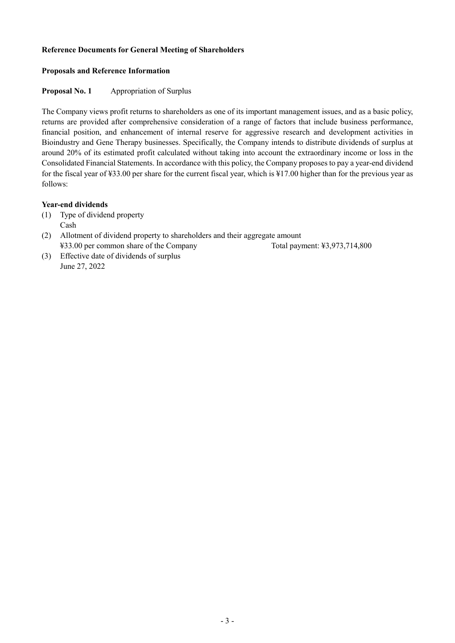## **Reference Documents for General Meeting of Shareholders**

## **Proposals and Reference Information**

## **Proposal No. 1 Appropriation of Surplus**

The Company views profit returns to shareholders as one of its important management issues, and as a basic policy, returns are provided after comprehensive consideration of a range of factors that include business performance, financial position, and enhancement of internal reserve for aggressive research and development activities in Bioindustry and Gene Therapy businesses. Specifically, the Company intends to distribute dividends of surplus at around 20% of its estimated profit calculated without taking into account the extraordinary income or loss in the Consolidated Financial Statements. In accordance with this policy, the Company proposes to pay a year-end dividend for the fiscal year of ¥33.00 per share for the current fiscal year, which is ¥17.00 higher than for the previous year as follows:

## **Year-end dividends**

- (1) Type of dividend property Cash
- (2) Allotment of dividend property to shareholders and their aggregate amount ¥33.00 per common share of the Company Total payment: ¥3,973,714,800
- (3) Effective date of dividends of surplus June 27, 2022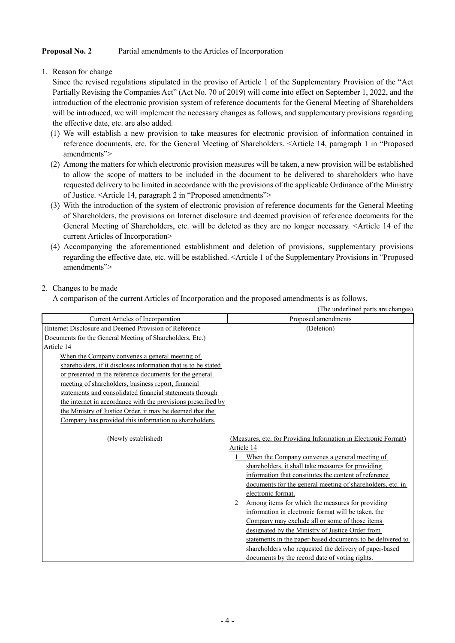# **Proposal No. 2** Partial amendments to the Articles of Incorporation

1. Reason for change

Since the revised regulations stipulated in the proviso of Article 1 of the Supplementary Provision of the "Act Partially Revising the Companies Act" (Act No. 70 of 2019) will come into effect on September 1, 2022, and the introduction of the electronic provision system of reference documents for the General Meeting of Shareholders will be introduced, we will implement the necessary changes as follows, and supplementary provisions regarding the effective date, etc. are also added.

- (1) We will establish a new provision to take measures for electronic provision of information contained in reference documents, etc. for the General Meeting of Shareholders. <Article 14, paragraph 1 in "Proposed amendments">
- (2) Among the matters for which electronic provision measures will be taken, a new provision will be established to allow the scope of matters to be included in the document to be delivered to shareholders who have requested delivery to be limited in accordance with the provisions of the applicable Ordinance of the Ministry of Justice. <Article 14, paragraph 2 in "Proposed amendments">
- (3) With the introduction of the system of electronic provision of reference documents for the General Meeting of Shareholders, the provisions on Internet disclosure and deemed provision of reference documents for the General Meeting of Shareholders, etc. will be deleted as they are no longer necessary. <Article 14 of the current Articles of Incorporation>
- (4) Accompanying the aforementioned establishment and deletion of provisions, supplementary provisions regarding the effective date, etc. will be established. <Article 1 of the Supplementary Provisions in "Proposed amendments">

# 2. Changes to be made

A comparison of the current Articles of Incorporation and the proposed amendments is as follows.

|                                                                | (The underlined parts are changes)                                                                                                                                                                                                                                                                                                                                                                                                                                                                                                                                                                                                                                                                                                             |
|----------------------------------------------------------------|------------------------------------------------------------------------------------------------------------------------------------------------------------------------------------------------------------------------------------------------------------------------------------------------------------------------------------------------------------------------------------------------------------------------------------------------------------------------------------------------------------------------------------------------------------------------------------------------------------------------------------------------------------------------------------------------------------------------------------------------|
| Current Articles of Incorporation                              | Proposed amendments                                                                                                                                                                                                                                                                                                                                                                                                                                                                                                                                                                                                                                                                                                                            |
| (Internet Disclosure and Deemed Provision of Reference         | (Deletion)                                                                                                                                                                                                                                                                                                                                                                                                                                                                                                                                                                                                                                                                                                                                     |
| Documents for the General Meeting of Shareholders, Etc.)       |                                                                                                                                                                                                                                                                                                                                                                                                                                                                                                                                                                                                                                                                                                                                                |
| Article 14                                                     |                                                                                                                                                                                                                                                                                                                                                                                                                                                                                                                                                                                                                                                                                                                                                |
| When the Company convenes a general meeting of                 |                                                                                                                                                                                                                                                                                                                                                                                                                                                                                                                                                                                                                                                                                                                                                |
| shareholders, if it discloses information that is to be stated |                                                                                                                                                                                                                                                                                                                                                                                                                                                                                                                                                                                                                                                                                                                                                |
| or presented in the reference documents for the general        |                                                                                                                                                                                                                                                                                                                                                                                                                                                                                                                                                                                                                                                                                                                                                |
| meeting of shareholders, business report, financial            |                                                                                                                                                                                                                                                                                                                                                                                                                                                                                                                                                                                                                                                                                                                                                |
| statements and consolidated financial statements through       |                                                                                                                                                                                                                                                                                                                                                                                                                                                                                                                                                                                                                                                                                                                                                |
| the internet in accordance with the provisions prescribed by   |                                                                                                                                                                                                                                                                                                                                                                                                                                                                                                                                                                                                                                                                                                                                                |
| the Ministry of Justice Order, it may be deemed that the       |                                                                                                                                                                                                                                                                                                                                                                                                                                                                                                                                                                                                                                                                                                                                                |
| Company has provided this information to shareholders.         |                                                                                                                                                                                                                                                                                                                                                                                                                                                                                                                                                                                                                                                                                                                                                |
| (Newly established)                                            | (Measures, etc. for Providing Information in Electronic Format)<br>Article 14<br>When the Company convenes a general meeting of<br>shareholders, it shall take measures for providing<br>information that constitutes the content of reference<br>documents for the general meeting of shareholders, etc. in<br>electronic format.<br>Among items for which the measures for providing<br>$\mathcal{D}$<br>information in electronic format will be taken, the<br>Company may exclude all or some of those items<br>designated by the Ministry of Justice Order from<br>statements in the paper-based documents to be delivered to<br>shareholders who requested the delivery of paper-based<br>documents by the record date of voting rights. |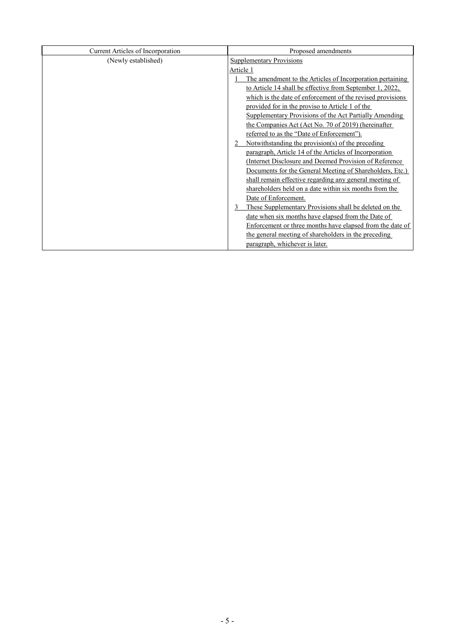| Current Articles of Incorporation | Proposed amendments                                        |
|-----------------------------------|------------------------------------------------------------|
| (Newly established)               | <b>Supplementary Provisions</b>                            |
|                                   | Article 1                                                  |
|                                   | The amendment to the Articles of Incorporation pertaining  |
|                                   | to Article 14 shall be effective from September 1, 2022,   |
|                                   | which is the date of enforcement of the revised provisions |
|                                   | provided for in the proviso to Article 1 of the            |
|                                   | Supplementary Provisions of the Act Partially Amending     |
|                                   | the Companies Act (Act No. 70 of 2019) (hereinafter        |
|                                   | referred to as the "Date of Enforcement").                 |
|                                   | Notwithstanding the provision(s) of the preceding          |
|                                   | paragraph, Article 14 of the Articles of Incorporation     |
|                                   | (Internet Disclosure and Deemed Provision of Reference)    |
|                                   | Documents for the General Meeting of Shareholders, Etc.)   |
|                                   | shall remain effective regarding any general meeting of    |
|                                   | shareholders held on a date within six months from the     |
|                                   | Date of Enforcement.                                       |
|                                   | These Supplementary Provisions shall be deleted on the     |
|                                   | date when six months have elapsed from the Date of         |
|                                   | Enforcement or three months have elapsed from the date of  |
|                                   | the general meeting of shareholders in the preceding       |
|                                   | paragraph, whichever is later.                             |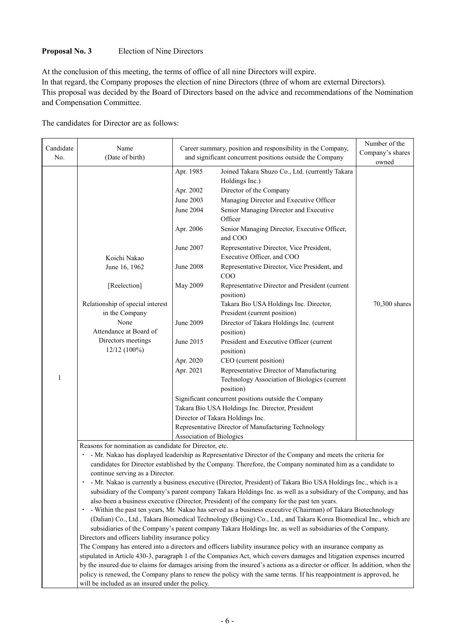# **Proposal No. 3** Election of Nine Directors

At the conclusion of this meeting, the terms of office of all nine Directors will expire. In that regard, the Company proposes the election of nine Directors (three of whom are external Directors). This proposal was decided by the Board of Directors based on the advice and recommendations of the Nomination and Compensation Committee.

The candidates for Director are as follows:

| Candidate<br>No. | Name<br>(Date of birth)                                                                                    | Career summary, position and responsibility in the Company,<br>and significant concurrent positions outside the Company |                                                                                                                                                                                                                                                                                                                                                                                                                                            | Number of the<br>Company's shares<br>owned |
|------------------|------------------------------------------------------------------------------------------------------------|-------------------------------------------------------------------------------------------------------------------------|--------------------------------------------------------------------------------------------------------------------------------------------------------------------------------------------------------------------------------------------------------------------------------------------------------------------------------------------------------------------------------------------------------------------------------------------|--------------------------------------------|
|                  | Koichi Nakao<br>June 16, 1962<br>[Reelection]                                                              | Apr. 1985<br>Apr. 2002<br>June 2003<br>June 2004<br>Apr. 2006<br>June 2007<br><b>June 2008</b><br><b>May 2009</b>       | Joined Takara Shuzo Co., Ltd. (currently Takara<br>Holdings Inc.)<br>Director of the Company<br>Managing Director and Executive Officer<br>Senior Managing Director and Executive<br>Officer<br>Senior Managing Director, Executive Officer,<br>and COO<br>Representative Director, Vice President,<br>Executive Officer, and COO<br>Representative Director, Vice President, and<br>COO<br>Representative Director and President (current |                                            |
|                  | Relationship of special interest<br>in the Company<br>None<br>Attendance at Board of<br>Directors meetings | June 2009<br>June 2015                                                                                                  | position)<br>Takara Bio USA Holdings Inc. Director,<br>President (current position)<br>Director of Takara Holdings Inc. (current<br>position)<br>President and Executive Officer (current                                                                                                                                                                                                                                                  | 70,300 shares                              |
| 1                | 12/12 (100%)                                                                                               | Apr. 2020<br>Apr. 2021<br>Association of Biologics                                                                      | position)<br>CEO (current position)<br>Representative Director of Manufacturing<br>Technology Association of Biologics (current<br>position)<br>Significant concurrent positions outside the Company<br>Takara Bio USA Holdings Inc. Director, President<br>Director of Takara Holdings Inc.<br>Representative Director of Manufacturing Technology                                                                                        |                                            |
|                  | Reasons for nomination as candidate for Director, etc.                                                     |                                                                                                                         | - Mr. Nakao has displayed leadership as Representative Director of the Company and meets the criteria for                                                                                                                                                                                                                                                                                                                                  |                                            |

candidates for Director established by the Company. Therefore, the Company nominated him as a candidate to continue serving as a Director.

・ - Mr. Nakao is currently a business executive (Director, President) of Takara Bio USA Holdings Inc., which is a subsidiary of the Company's parent company Takara Holdings Inc. as well as a subsidiary of the Company, and has also been a business executive (Director, President) of the company for the past ten years.

・ - Within the past ten years, Mr. Nakao has served as a business executive (Chairman) of Takara Biotechnology (Dalian) Co., Ltd., Takara Biomedical Technology (Beijing) Co., Ltd., and Takara Korea Biomedical Inc., which are subsidiaries of the Company's parent company Takara Holdings Inc. as well as subsidiaries of the Company. Directors and officers liability insurance policy

The Company has entered into a directors and officers liability insurance policy with an insurance company as stipulated in Article 430-3, paragraph 1 of the Companies Act, which covers damages and litigation expenses incurred by the insured due to claims for damages arising from the insured's actions as a director or officer. In addition, when the policy is renewed, the Company plans to renew the policy with the same terms. If his reappointment is approved, he will be included as an insured under the policy.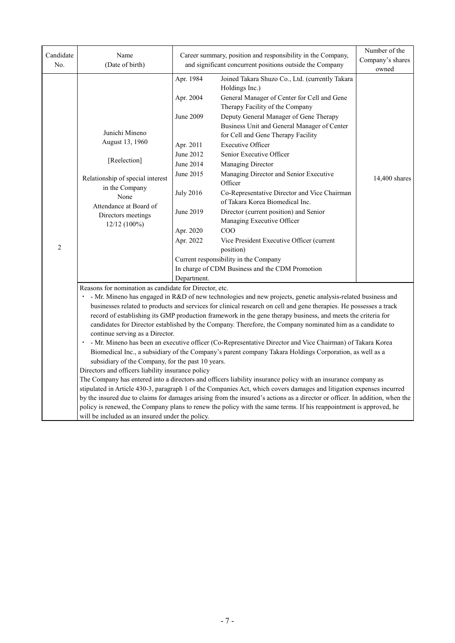| Candidate<br>No. | Name<br>(Date of birth)                                                                                                                                                                                                                                                                                                                                                                                                                                                                                                                                                                                                                                                                                                                                                                                                                                                                                                                                                                                                                                                                                                                                                                                                                                                                                                                                                                                                                              | Career summary, position and responsibility in the Company,<br>and significant concurrent positions outside the Company                                           |                                                                                                                                                                                                                                                                                                                                                                                                                                                                                                                                                                                                                                                                                                                                              | Number of the<br>Company's shares<br>owned |
|------------------|------------------------------------------------------------------------------------------------------------------------------------------------------------------------------------------------------------------------------------------------------------------------------------------------------------------------------------------------------------------------------------------------------------------------------------------------------------------------------------------------------------------------------------------------------------------------------------------------------------------------------------------------------------------------------------------------------------------------------------------------------------------------------------------------------------------------------------------------------------------------------------------------------------------------------------------------------------------------------------------------------------------------------------------------------------------------------------------------------------------------------------------------------------------------------------------------------------------------------------------------------------------------------------------------------------------------------------------------------------------------------------------------------------------------------------------------------|-------------------------------------------------------------------------------------------------------------------------------------------------------------------|----------------------------------------------------------------------------------------------------------------------------------------------------------------------------------------------------------------------------------------------------------------------------------------------------------------------------------------------------------------------------------------------------------------------------------------------------------------------------------------------------------------------------------------------------------------------------------------------------------------------------------------------------------------------------------------------------------------------------------------------|--------------------------------------------|
| $\overline{c}$   | Junichi Mineno<br>August 13, 1960<br>[Reelection]<br>Relationship of special interest<br>in the Company<br>None<br>Attendance at Board of<br>Directors meetings<br>12/12 (100%)                                                                                                                                                                                                                                                                                                                                                                                                                                                                                                                                                                                                                                                                                                                                                                                                                                                                                                                                                                                                                                                                                                                                                                                                                                                                      | Apr. 1984<br>Apr. 2004<br>June 2009<br>Apr. 2011<br>June 2012<br>June 2014<br>June 2015<br><b>July 2016</b><br>June 2019<br>Apr. 2020<br>Apr. 2022<br>Department. | Joined Takara Shuzo Co., Ltd. (currently Takara<br>Holdings Inc.)<br>General Manager of Center for Cell and Gene<br>Therapy Facility of the Company<br>Deputy General Manager of Gene Therapy<br>Business Unit and General Manager of Center<br>for Cell and Gene Therapy Facility<br><b>Executive Officer</b><br>Senior Executive Officer<br>Managing Director<br>Managing Director and Senior Executive<br>Officer<br>Co-Representative Director and Vice Chairman<br>of Takara Korea Biomedical Inc.<br>Director (current position) and Senior<br>Managing Executive Officer<br>COO<br>Vice President Executive Officer (current<br>position)<br>Current responsibility in the Company<br>In charge of CDM Business and the CDM Promotion | 14,400 shares                              |
|                  | Reasons for nomination as candidate for Director, etc.<br>· - Mr. Mineno has engaged in R&D of new technologies and new projects, genetic analysis-related business and<br>businesses related to products and services for clinical research on cell and gene therapies. He possesses a track<br>record of establishing its GMP production framework in the gene therapy business, and meets the criteria for<br>candidates for Director established by the Company. Therefore, the Company nominated him as a candidate to<br>continue serving as a Director.<br>· - Mr. Mineno has been an executive officer (Co-Representative Director and Vice Chairman) of Takara Korea<br>Biomedical Inc., a subsidiary of the Company's parent company Takara Holdings Corporation, as well as a<br>subsidiary of the Company, for the past 10 years.<br>Directors and officers liability insurance policy<br>The Company has entered into a directors and officers liability insurance policy with an insurance company as<br>stipulated in Article 430-3, paragraph 1 of the Companies Act, which covers damages and litigation expenses incurred<br>by the insured due to claims for damages arising from the insured's actions as a director or officer. In addition, when the<br>policy is renewed, the Company plans to renew the policy with the same terms. If his reappointment is approved, he<br>will be included as an insured under the policy. |                                                                                                                                                                   |                                                                                                                                                                                                                                                                                                                                                                                                                                                                                                                                                                                                                                                                                                                                              |                                            |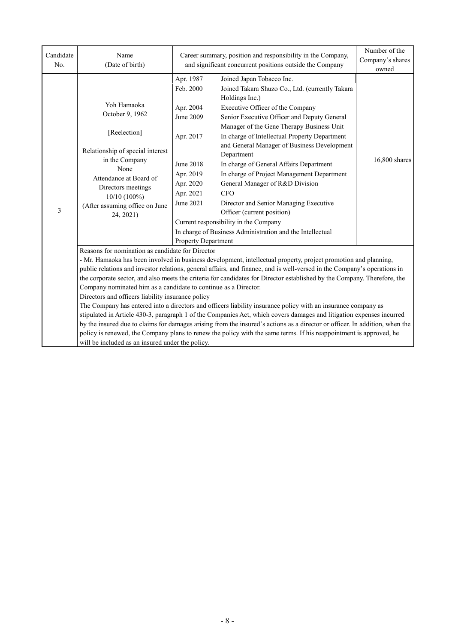| Candidate<br>No. | Name<br>(Date of birth)                                                                                                                                                                                                                                                                                                                                                                                                                                                                                                                                                                                                                                                                                                                                                                                                                                                                                                                                                                                                                                                                               | Career summary, position and responsibility in the Company,<br>and significant concurrent positions outside the Company                                      |                                                                                                                                                                                                                                                                                                                                                                                                                                                                                                                                                                                                                                                                      | Number of the<br>Company's shares<br>owned |  |
|------------------|-------------------------------------------------------------------------------------------------------------------------------------------------------------------------------------------------------------------------------------------------------------------------------------------------------------------------------------------------------------------------------------------------------------------------------------------------------------------------------------------------------------------------------------------------------------------------------------------------------------------------------------------------------------------------------------------------------------------------------------------------------------------------------------------------------------------------------------------------------------------------------------------------------------------------------------------------------------------------------------------------------------------------------------------------------------------------------------------------------|--------------------------------------------------------------------------------------------------------------------------------------------------------------|----------------------------------------------------------------------------------------------------------------------------------------------------------------------------------------------------------------------------------------------------------------------------------------------------------------------------------------------------------------------------------------------------------------------------------------------------------------------------------------------------------------------------------------------------------------------------------------------------------------------------------------------------------------------|--------------------------------------------|--|
| $\mathfrak{Z}$   | Yoh Hamaoka<br>October 9, 1962<br>[Reelection]<br>Relationship of special interest<br>in the Company<br>None<br>Attendance at Board of<br>Directors meetings<br>10/10 (100%)<br>(After assuming office on June<br>24, 2021)                                                                                                                                                                                                                                                                                                                                                                                                                                                                                                                                                                                                                                                                                                                                                                                                                                                                           | Apr. 1987<br>Feb. 2000<br>Apr. 2004<br>June 2009<br>Apr. 2017<br>June 2018<br>Apr. 2019<br>Apr. 2020<br>Apr. 2021<br>June 2021<br><b>Property Department</b> | Joined Japan Tobacco Inc.<br>Joined Takara Shuzo Co., Ltd. (currently Takara<br>Holdings Inc.)<br>Executive Officer of the Company<br>Senior Executive Officer and Deputy General<br>Manager of the Gene Therapy Business Unit<br>In charge of Intellectual Property Department<br>and General Manager of Business Development<br>Department<br>In charge of General Affairs Department<br>In charge of Project Management Department<br>General Manager of R&D Division<br><b>CFO</b><br>Director and Senior Managing Executive<br>Officer (current position)<br>Current responsibility in the Company<br>In charge of Business Administration and the Intellectual | 16,800 shares                              |  |
|                  | Reasons for nomination as candidate for Director<br>- Mr. Hamaoka has been involved in business development, intellectual property, project promotion and planning,<br>public relations and investor relations, general affairs, and finance, and is well-versed in the Company's operations in<br>the corporate sector, and also meets the criteria for candidates for Director established by the Company. Therefore, the<br>Company nominated him as a candidate to continue as a Director.<br>Directors and officers liability insurance policy<br>The Company has entered into a directors and officers liability insurance policy with an insurance company as<br>stipulated in Article 430-3, paragraph 1 of the Companies Act, which covers damages and litigation expenses incurred<br>by the insured due to claims for damages arising from the insured's actions as a director or officer. In addition, when the<br>policy is renewed, the Company plans to renew the policy with the same terms. If his reappointment is approved, he<br>will be included as an insured under the policy. |                                                                                                                                                              |                                                                                                                                                                                                                                                                                                                                                                                                                                                                                                                                                                                                                                                                      |                                            |  |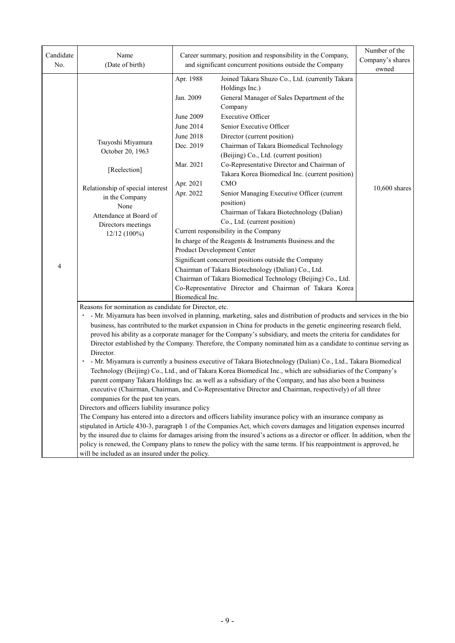| Candidate<br>No. | Name<br>(Date of birth)                                                                                                                                                                                                                                                                                                                                                                                                                                                                                                                                                                                                                                                                                                                                                                                                                                                                                                                                                                                                                                                                                                                                                                                                                                                                                                                                                                                                                                                                                                                                                                                                                                          |                                                                                                                                      | Career summary, position and responsibility in the Company,<br>and significant concurrent positions outside the Company                                                                                                                                                                                                                                                                                                                                                                                                                                                                                                                                                                                                                                                                                                                                                                                                              | Number of the<br>Company's shares<br>owned |  |
|------------------|------------------------------------------------------------------------------------------------------------------------------------------------------------------------------------------------------------------------------------------------------------------------------------------------------------------------------------------------------------------------------------------------------------------------------------------------------------------------------------------------------------------------------------------------------------------------------------------------------------------------------------------------------------------------------------------------------------------------------------------------------------------------------------------------------------------------------------------------------------------------------------------------------------------------------------------------------------------------------------------------------------------------------------------------------------------------------------------------------------------------------------------------------------------------------------------------------------------------------------------------------------------------------------------------------------------------------------------------------------------------------------------------------------------------------------------------------------------------------------------------------------------------------------------------------------------------------------------------------------------------------------------------------------------|--------------------------------------------------------------------------------------------------------------------------------------|--------------------------------------------------------------------------------------------------------------------------------------------------------------------------------------------------------------------------------------------------------------------------------------------------------------------------------------------------------------------------------------------------------------------------------------------------------------------------------------------------------------------------------------------------------------------------------------------------------------------------------------------------------------------------------------------------------------------------------------------------------------------------------------------------------------------------------------------------------------------------------------------------------------------------------------|--------------------------------------------|--|
| 4                | Tsuyoshi Miyamura<br>October 20, 1963<br>[Reelection]<br>Relationship of special interest<br>in the Company<br>None<br>Attendance at Board of<br>Directors meetings<br>$12/12(100\%)$                                                                                                                                                                                                                                                                                                                                                                                                                                                                                                                                                                                                                                                                                                                                                                                                                                                                                                                                                                                                                                                                                                                                                                                                                                                                                                                                                                                                                                                                            | Apr. 1988<br>Jan. 2009<br>June 2009<br>June 2014<br>June 2018<br>Dec. 2019<br>Mar. 2021<br>Apr. 2021<br>Apr. 2022<br>Biomedical Inc. | Joined Takara Shuzo Co., Ltd. (currently Takara<br>Holdings Inc.)<br>General Manager of Sales Department of the<br>Company<br><b>Executive Officer</b><br>Senior Executive Officer<br>Director (current position)<br>Chairman of Takara Biomedical Technology<br>(Beijing) Co., Ltd. (current position)<br>Co-Representative Director and Chairman of<br>Takara Korea Biomedical Inc. (current position)<br>CMO<br>Senior Managing Executive Officer (current<br>position)<br>Chairman of Takara Biotechnology (Dalian)<br>Co., Ltd. (current position)<br>Current responsibility in the Company<br>In charge of the Reagents & Instruments Business and the<br>Product Development Center<br>Significant concurrent positions outside the Company<br>Chairman of Takara Biotechnology (Dalian) Co., Ltd.<br>Chairman of Takara Biomedical Technology (Beijing) Co., Ltd.<br>Co-Representative Director and Chairman of Takara Korea | 10,600 shares                              |  |
|                  | Reasons for nomination as candidate for Director, etc.<br>· - Mr. Miyamura has been involved in planning, marketing, sales and distribution of products and services in the bio<br>business, has contributed to the market expansion in China for products in the genetic engineering research field,<br>proved his ability as a corporate manager for the Company's subsidiary, and meets the criteria for candidates for<br>Director established by the Company. Therefore, the Company nominated him as a candidate to continue serving as<br>Director.<br>. - Mr. Miyamura is currently a business executive of Takara Biotechnology (Dalian) Co., Ltd., Takara Biomedical<br>Technology (Beijing) Co., Ltd., and of Takara Korea Biomedical Inc., which are subsidiaries of the Company's<br>parent company Takara Holdings Inc. as well as a subsidiary of the Company, and has also been a business<br>executive (Chairman, Chairman, and Co-Representative Director and Chairman, respectively) of all three<br>companies for the past ten years.<br>Directors and officers liability insurance policy<br>The Company has entered into a directors and officers liability insurance policy with an insurance company as<br>stipulated in Article 430-3, paragraph 1 of the Companies Act, which covers damages and litigation expenses incurred<br>by the insured due to claims for damages arising from the insured's actions as a director or officer. In addition, when the<br>policy is renewed, the Company plans to renew the policy with the same terms. If his reappointment is approved, he<br>will be included as an insured under the policy. |                                                                                                                                      |                                                                                                                                                                                                                                                                                                                                                                                                                                                                                                                                                                                                                                                                                                                                                                                                                                                                                                                                      |                                            |  |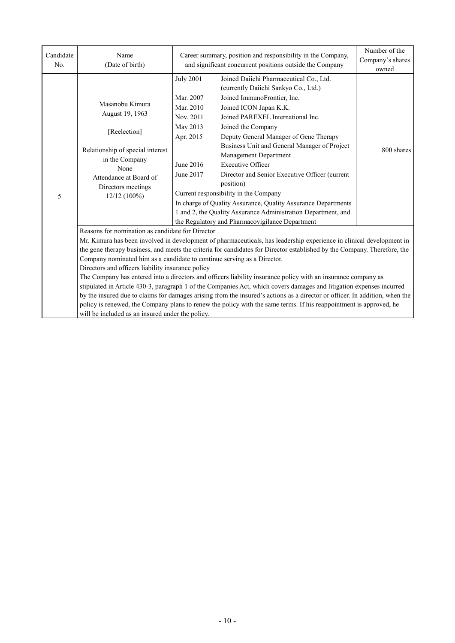| Candidate<br>No. | Name<br>(Date of birth)                                                                                                                                                                                                                                                                                                                                                                                                                                                                                                                                                                                                                                                                                                                                                                                                                                                                                                                                                                | Career summary, position and responsibility in the Company,<br>and significant concurrent positions outside the Company |                                                                                                                                                                                                                                                                                                                                                                                                                                                                                                                                                                                                                                                 | Number of the<br>Company's shares<br>owned |  |
|------------------|----------------------------------------------------------------------------------------------------------------------------------------------------------------------------------------------------------------------------------------------------------------------------------------------------------------------------------------------------------------------------------------------------------------------------------------------------------------------------------------------------------------------------------------------------------------------------------------------------------------------------------------------------------------------------------------------------------------------------------------------------------------------------------------------------------------------------------------------------------------------------------------------------------------------------------------------------------------------------------------|-------------------------------------------------------------------------------------------------------------------------|-------------------------------------------------------------------------------------------------------------------------------------------------------------------------------------------------------------------------------------------------------------------------------------------------------------------------------------------------------------------------------------------------------------------------------------------------------------------------------------------------------------------------------------------------------------------------------------------------------------------------------------------------|--------------------------------------------|--|
| 5                | Masanobu Kimura<br>August 19, 1963<br>[Reelection]<br>Relationship of special interest<br>in the Company<br>None<br>Attendance at Board of<br>Directors meetings<br>$12/12(100\%)$                                                                                                                                                                                                                                                                                                                                                                                                                                                                                                                                                                                                                                                                                                                                                                                                     | <b>July 2001</b><br>Mar. 2007<br>Mar. 2010<br>Nov. 2011<br>May 2013<br>Apr. 2015<br>June 2016<br>June 2017              | Joined Daiichi Pharmaceutical Co., Ltd.<br>(currently Daiichi Sankyo Co., Ltd.)<br>Joined ImmunoFrontier, Inc.<br>Joined ICON Japan K.K.<br>Joined PAREXEL International Inc.<br>Joined the Company<br>Deputy General Manager of Gene Therapy<br>Business Unit and General Manager of Project<br>Management Department<br><b>Executive Officer</b><br>Director and Senior Executive Officer (current<br>position)<br>Current responsibility in the Company<br>In charge of Quality Assurance, Quality Assurance Departments<br>1 and 2, the Quality Assurance Administration Department, and<br>the Regulatory and Pharmacovigilance Department | 800 shares                                 |  |
|                  | Reasons for nomination as candidate for Director<br>Mr. Kimura has been involved in development of pharmaceuticals, has leadership experience in clinical development in<br>the gene therapy business, and meets the criteria for candidates for Director established by the Company. Therefore, the<br>Company nominated him as a candidate to continue serving as a Director.<br>Directors and officers liability insurance policy<br>The Company has entered into a directors and officers liability insurance policy with an insurance company as<br>stipulated in Article 430-3, paragraph 1 of the Companies Act, which covers damages and litigation expenses incurred<br>by the insured due to claims for damages arising from the insured's actions as a director or officer. In addition, when the<br>policy is renewed, the Company plans to renew the policy with the same terms. If his reappointment is approved, he<br>will be included as an insured under the policy. |                                                                                                                         |                                                                                                                                                                                                                                                                                                                                                                                                                                                                                                                                                                                                                                                 |                                            |  |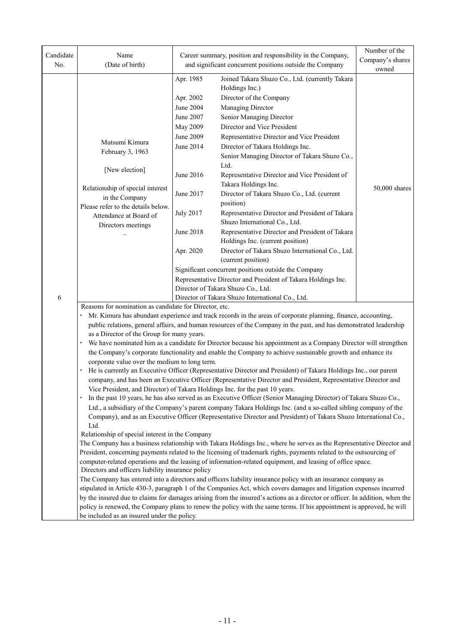| Candidate | Name                                                                                                                                                                                                                                         |                    | Career summary, position and responsibility in the Company,                                                                 | Number of the<br>Company's shares |  |
|-----------|----------------------------------------------------------------------------------------------------------------------------------------------------------------------------------------------------------------------------------------------|--------------------|-----------------------------------------------------------------------------------------------------------------------------|-----------------------------------|--|
| No.       | (Date of birth)                                                                                                                                                                                                                              |                    | and significant concurrent positions outside the Company                                                                    | owned                             |  |
|           |                                                                                                                                                                                                                                              | Apr. 1985          | Joined Takara Shuzo Co., Ltd. (currently Takara                                                                             |                                   |  |
|           |                                                                                                                                                                                                                                              |                    | Holdings Inc.)                                                                                                              |                                   |  |
|           |                                                                                                                                                                                                                                              | Apr. 2002          | Director of the Company                                                                                                     |                                   |  |
|           |                                                                                                                                                                                                                                              | June 2004          | Managing Director                                                                                                           |                                   |  |
|           |                                                                                                                                                                                                                                              | June 2007          | Senior Managing Director                                                                                                    |                                   |  |
|           |                                                                                                                                                                                                                                              | May 2009           | Director and Vice President                                                                                                 |                                   |  |
|           | Mutsumi Kimura                                                                                                                                                                                                                               | June 2009          | Representative Director and Vice President                                                                                  |                                   |  |
|           | February 3, 1963                                                                                                                                                                                                                             | June 2014          | Director of Takara Holdings Inc.                                                                                            |                                   |  |
|           |                                                                                                                                                                                                                                              |                    | Senior Managing Director of Takara Shuzo Co.,<br>Ltd.                                                                       |                                   |  |
|           | [New election]                                                                                                                                                                                                                               | June 2016          | Representative Director and Vice President of                                                                               |                                   |  |
|           |                                                                                                                                                                                                                                              |                    | Takara Holdings Inc.                                                                                                        |                                   |  |
|           | Relationship of special interest<br>in the Company                                                                                                                                                                                           | June 2017          | Director of Takara Shuzo Co., Ltd. (current                                                                                 | 50,000 shares                     |  |
|           | Please refer to the details below.                                                                                                                                                                                                           |                    | position)                                                                                                                   |                                   |  |
|           | Attendance at Board of                                                                                                                                                                                                                       | <b>July 2017</b>   | Representative Director and President of Takara                                                                             |                                   |  |
|           | Directors meetings                                                                                                                                                                                                                           |                    | Shuzo International Co., Ltd.                                                                                               |                                   |  |
|           |                                                                                                                                                                                                                                              | June 2018          | Representative Director and President of Takara                                                                             |                                   |  |
|           |                                                                                                                                                                                                                                              |                    | Holdings Inc. (current position)                                                                                            |                                   |  |
|           |                                                                                                                                                                                                                                              | Apr. 2020          | Director of Takara Shuzo International Co., Ltd.                                                                            |                                   |  |
|           |                                                                                                                                                                                                                                              | (current position) |                                                                                                                             |                                   |  |
|           |                                                                                                                                                                                                                                              |                    | Significant concurrent positions outside the Company                                                                        |                                   |  |
|           |                                                                                                                                                                                                                                              |                    | Representative Director and President of Takara Holdings Inc.                                                               |                                   |  |
|           |                                                                                                                                                                                                                                              |                    | Director of Takara Shuzo Co., Ltd.                                                                                          |                                   |  |
| 6         | Reasons for nomination as candidate for Director, etc.                                                                                                                                                                                       |                    | Director of Takara Shuzo International Co., Ltd.                                                                            |                                   |  |
|           |                                                                                                                                                                                                                                              |                    | Mr. Kimura has abundant experience and track records in the areas of corporate planning, finance, accounting,               |                                   |  |
|           |                                                                                                                                                                                                                                              |                    | public relations, general affairs, and human resources of the Company in the past, and has demonstrated leadership          |                                   |  |
|           | as a Director of the Group for many years.                                                                                                                                                                                                   |                    |                                                                                                                             |                                   |  |
|           |                                                                                                                                                                                                                                              |                    | We have nominated him as a candidate for Director because his appointment as a Company Director will strengthen             |                                   |  |
|           |                                                                                                                                                                                                                                              |                    | the Company's corporate functionality and enable the Company to achieve sustainable growth and enhance its                  |                                   |  |
|           | corporate value over the medium to long term.                                                                                                                                                                                                |                    |                                                                                                                             |                                   |  |
|           |                                                                                                                                                                                                                                              |                    | He is currently an Executive Officer (Representative Director and President) of Takara Holdings Inc., our parent            |                                   |  |
|           |                                                                                                                                                                                                                                              |                    | company, and has been an Executive Officer (Representative Director and President, Representative Director and              |                                   |  |
|           | Vice President, and Director) of Takara Holdings Inc. for the past 10 years.                                                                                                                                                                 |                    |                                                                                                                             |                                   |  |
|           |                                                                                                                                                                                                                                              |                    | In the past 10 years, he has also served as an Executive Officer (Senior Managing Director) of Takara Shuzo Co.,            |                                   |  |
|           |                                                                                                                                                                                                                                              |                    | Ltd., a subsidiary of the Company's parent company Takara Holdings Inc. (and a so-called sibling company of the             |                                   |  |
|           | Ltd.                                                                                                                                                                                                                                         |                    | Company), and as an Executive Officer (Representative Director and President) of Takara Shuzo International Co.,            |                                   |  |
|           | Relationship of special interest in the Company                                                                                                                                                                                              |                    |                                                                                                                             |                                   |  |
|           |                                                                                                                                                                                                                                              |                    |                                                                                                                             |                                   |  |
|           | The Company has a business relationship with Takara Holdings Inc., where he serves as the Representative Director and<br>President, concerning payments related to the licensing of trademark rights, payments related to the outsourcing of |                    |                                                                                                                             |                                   |  |
|           |                                                                                                                                                                                                                                              |                    | computer-related operations and the leasing of information-related equipment, and leasing of office space.                  |                                   |  |
|           | Directors and officers liability insurance policy                                                                                                                                                                                            |                    |                                                                                                                             |                                   |  |
|           |                                                                                                                                                                                                                                              |                    | The Company has entered into a directors and officers liability insurance policy with an insurance company as               |                                   |  |
|           |                                                                                                                                                                                                                                              |                    | stipulated in Article 430-3, paragraph 1 of the Companies Act, which covers damages and litigation expenses incurred        |                                   |  |
|           |                                                                                                                                                                                                                                              |                    | by the insured due to claims for damages arising from the insured's actions as a director or officer. In addition, when the |                                   |  |
|           |                                                                                                                                                                                                                                              |                    | policy is renewed, the Company plans to renew the policy with the same terms. If his appointment is approved, he will       |                                   |  |
|           | be included as an insured under the policy.                                                                                                                                                                                                  |                    |                                                                                                                             |                                   |  |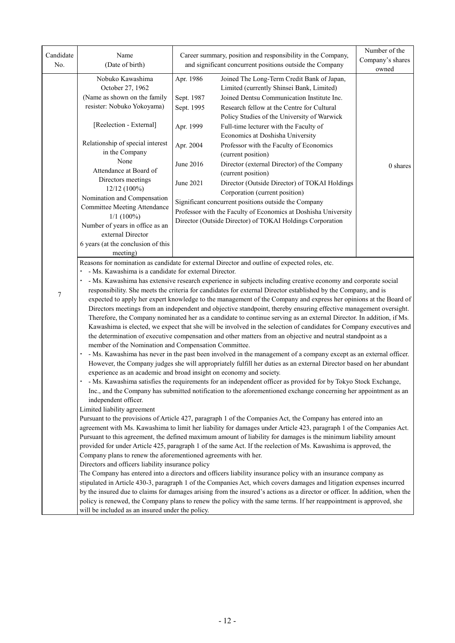| Candidate<br>No. | Name<br>(Date of birth)                                                                                                                                                                                                             |                                                                                                                 | Career summary, position and responsibility in the Company,<br>and significant concurrent positions outside the Company     | Number of the<br>Company's shares<br>owned |  |  |
|------------------|-------------------------------------------------------------------------------------------------------------------------------------------------------------------------------------------------------------------------------------|-----------------------------------------------------------------------------------------------------------------|-----------------------------------------------------------------------------------------------------------------------------|--------------------------------------------|--|--|
|                  | Nobuko Kawashima<br>October 27, 1962                                                                                                                                                                                                | Apr. 1986                                                                                                       | Joined The Long-Term Credit Bank of Japan,<br>Limited (currently Shinsei Bank, Limited)                                     |                                            |  |  |
|                  | (Name as shown on the family                                                                                                                                                                                                        | Sept. 1987                                                                                                      | Joined Dentsu Communication Institute Inc.                                                                                  |                                            |  |  |
|                  | resister: Nobuko Yokoyama)                                                                                                                                                                                                          | Sept. 1995                                                                                                      | Research fellow at the Centre for Cultural<br>Policy Studies of the University of Warwick                                   |                                            |  |  |
|                  | [Reelection - External]                                                                                                                                                                                                             | Apr. 1999                                                                                                       | Full-time lecturer with the Faculty of<br>Economics at Doshisha University                                                  |                                            |  |  |
|                  | Relationship of special interest<br>in the Company                                                                                                                                                                                  | Apr. 2004                                                                                                       | Professor with the Faculty of Economics<br>(current position)                                                               |                                            |  |  |
|                  | None<br>Attendance at Board of                                                                                                                                                                                                      | June 2016                                                                                                       | Director (external Director) of the Company<br>(current position)                                                           | 0 shares                                   |  |  |
|                  | Directors meetings<br>12/12 (100%)                                                                                                                                                                                                  | June 2021                                                                                                       | Director (Outside Director) of TOKAI Holdings<br>Corporation (current position)                                             |                                            |  |  |
|                  | Nomination and Compensation<br><b>Committee Meeting Attendance</b>                                                                                                                                                                  |                                                                                                                 | Significant concurrent positions outside the Company<br>Professor with the Faculty of Economics at Doshisha University      |                                            |  |  |
|                  | $1/1$ (100%)<br>Number of years in office as an                                                                                                                                                                                     |                                                                                                                 | Director (Outside Director) of TOKAI Holdings Corporation                                                                   |                                            |  |  |
|                  | external Director                                                                                                                                                                                                                   |                                                                                                                 |                                                                                                                             |                                            |  |  |
|                  | 6 years (at the conclusion of this<br>meeting)                                                                                                                                                                                      |                                                                                                                 |                                                                                                                             |                                            |  |  |
|                  |                                                                                                                                                                                                                                     |                                                                                                                 | Reasons for nomination as candidate for external Director and outline of expected roles, etc.                               |                                            |  |  |
|                  | · - Ms. Kawashima is a candidate for external Director.                                                                                                                                                                             |                                                                                                                 |                                                                                                                             |                                            |  |  |
|                  |                                                                                                                                                                                                                                     | · - Ms. Kawashima has extensive research experience in subjects including creative economy and corporate social |                                                                                                                             |                                            |  |  |
| 7                |                                                                                                                                                                                                                                     |                                                                                                                 | responsibility. She meets the criteria for candidates for external Director established by the Company, and is              |                                            |  |  |
|                  |                                                                                                                                                                                                                                     |                                                                                                                 | expected to apply her expert knowledge to the management of the Company and express her opinions at the Board of            |                                            |  |  |
|                  |                                                                                                                                                                                                                                     |                                                                                                                 | Directors meetings from an independent and objective standpoint, thereby ensuring effective management oversight.           |                                            |  |  |
|                  |                                                                                                                                                                                                                                     |                                                                                                                 | Therefore, the Company nominated her as a candidate to continue serving as an external Director. In addition, if Ms.        |                                            |  |  |
|                  |                                                                                                                                                                                                                                     |                                                                                                                 | Kawashima is elected, we expect that she will be involved in the selection of candidates for Company executives and         |                                            |  |  |
|                  | member of the Nomination and Compensation Committee.                                                                                                                                                                                |                                                                                                                 | the determination of executive compensation and other matters from an objective and neutral standpoint as a                 |                                            |  |  |
|                  |                                                                                                                                                                                                                                     |                                                                                                                 | · - Ms. Kawashima has never in the past been involved in the management of a company except as an external officer.         |                                            |  |  |
|                  |                                                                                                                                                                                                                                     |                                                                                                                 | However, the Company judges she will appropriately fulfill her duties as an external Director based on her abundant         |                                            |  |  |
|                  | experience as an academic and broad insight on economy and society.                                                                                                                                                                 |                                                                                                                 |                                                                                                                             |                                            |  |  |
|                  |                                                                                                                                                                                                                                     |                                                                                                                 | - Ms. Kawashima satisfies the requirements for an independent officer as provided for by Tokyo Stock Exchange,              |                                            |  |  |
|                  |                                                                                                                                                                                                                                     |                                                                                                                 | Inc., and the Company has submitted notification to the aforementioned exchange concerning her appointment as an            |                                            |  |  |
|                  | independent officer.                                                                                                                                                                                                                |                                                                                                                 |                                                                                                                             |                                            |  |  |
|                  | Limited liability agreement                                                                                                                                                                                                         |                                                                                                                 |                                                                                                                             |                                            |  |  |
|                  |                                                                                                                                                                                                                                     |                                                                                                                 | Pursuant to the provisions of Article 427, paragraph 1 of the Companies Act, the Company has entered into an                |                                            |  |  |
|                  | agreement with Ms. Kawashima to limit her liability for damages under Article 423, paragraph 1 of the Companies Act.                                                                                                                |                                                                                                                 |                                                                                                                             |                                            |  |  |
|                  | Pursuant to this agreement, the defined maximum amount of liability for damages is the minimum liability amount<br>provided for under Article 425, paragraph 1 of the same Act. If the reelection of Ms. Kawashima is approved, the |                                                                                                                 |                                                                                                                             |                                            |  |  |
|                  | Company plans to renew the aforementioned agreements with her.                                                                                                                                                                      |                                                                                                                 |                                                                                                                             |                                            |  |  |
|                  | Directors and officers liability insurance policy                                                                                                                                                                                   |                                                                                                                 |                                                                                                                             |                                            |  |  |
|                  |                                                                                                                                                                                                                                     |                                                                                                                 | The Company has entered into a directors and officers liability insurance policy with an insurance company as               |                                            |  |  |
|                  |                                                                                                                                                                                                                                     |                                                                                                                 | stipulated in Article 430-3, paragraph 1 of the Companies Act, which covers damages and litigation expenses incurred        |                                            |  |  |
|                  |                                                                                                                                                                                                                                     |                                                                                                                 | by the insured due to claims for damages arising from the insured's actions as a director or officer. In addition, when the |                                            |  |  |
|                  |                                                                                                                                                                                                                                     |                                                                                                                 | policy is renewed, the Company plans to renew the policy with the same terms. If her reappointment is approved, she         |                                            |  |  |
|                  | will be included as an insured under the policy.                                                                                                                                                                                    |                                                                                                                 |                                                                                                                             |                                            |  |  |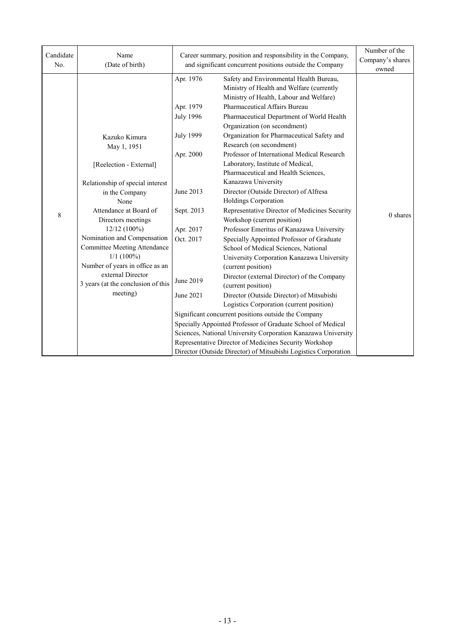| Candidate<br>No. | Name<br>(Date of birth)            | Career summary, position and responsibility in the Company,<br>and significant concurrent positions outside the Company |                                                                                                                                 | Number of the<br>Company's shares<br>owned |
|------------------|------------------------------------|-------------------------------------------------------------------------------------------------------------------------|---------------------------------------------------------------------------------------------------------------------------------|--------------------------------------------|
|                  |                                    | Apr. 1976                                                                                                               | Safety and Environmental Health Bureau,<br>Ministry of Health and Welfare (currently<br>Ministry of Health, Labour and Welfare) |                                            |
|                  |                                    | Apr. 1979                                                                                                               | Pharmaceutical Affairs Bureau                                                                                                   |                                            |
|                  |                                    | <b>July 1996</b>                                                                                                        | Pharmaceutical Department of World Health                                                                                       |                                            |
|                  |                                    |                                                                                                                         | Organization (on secondment)                                                                                                    |                                            |
|                  | Kazuko Kimura                      | <b>July 1999</b>                                                                                                        | Organization for Pharmaceutical Safety and                                                                                      |                                            |
|                  | May 1, 1951                        |                                                                                                                         | Research (on secondment)                                                                                                        |                                            |
|                  |                                    | Apr. 2000                                                                                                               | Professor of International Medical Research                                                                                     |                                            |
|                  | [Reelection - External]            |                                                                                                                         | Laboratory, Institute of Medical,                                                                                               |                                            |
|                  |                                    |                                                                                                                         | Pharmaceutical and Health Sciences,                                                                                             |                                            |
|                  | Relationship of special interest   |                                                                                                                         | Kanazawa University                                                                                                             |                                            |
|                  | in the Company                     | June 2013                                                                                                               | Director (Outside Director) of Alfresa                                                                                          |                                            |
|                  | None                               |                                                                                                                         | Holdings Corporation                                                                                                            |                                            |
| 8                | Attendance at Board of             | Sept. 2013                                                                                                              | Representative Director of Medicines Security                                                                                   | 0 shares                                   |
|                  | Directors meetings                 |                                                                                                                         | Workshop (current position)                                                                                                     |                                            |
|                  | 12/12 (100%)                       | Apr. 2017                                                                                                               | Professor Emeritus of Kanazawa University                                                                                       |                                            |
|                  | Nomination and Compensation        | Oct. 2017                                                                                                               | Specially Appointed Professor of Graduate                                                                                       |                                            |
|                  | Committee Meeting Attendance       |                                                                                                                         | School of Medical Sciences, National                                                                                            |                                            |
|                  | $1/1$ (100%)                       |                                                                                                                         | University Corporation Kanazawa University                                                                                      |                                            |
|                  | Number of years in office as an    |                                                                                                                         | (current position)                                                                                                              |                                            |
|                  | external Director                  | June 2019                                                                                                               | Director (external Director) of the Company                                                                                     |                                            |
|                  | 3 years (at the conclusion of this |                                                                                                                         | (current position)                                                                                                              |                                            |
|                  | meeting)                           | June 2021                                                                                                               | Director (Outside Director) of Mitsubishi                                                                                       |                                            |
|                  |                                    |                                                                                                                         | Logistics Corporation (current position)                                                                                        |                                            |
|                  |                                    | Significant concurrent positions outside the Company                                                                    |                                                                                                                                 |                                            |
|                  |                                    | Specially Appointed Professor of Graduate School of Medical                                                             |                                                                                                                                 |                                            |
|                  |                                    | Sciences, National University Corporation Kanazawa University                                                           |                                                                                                                                 |                                            |
|                  |                                    |                                                                                                                         | Representative Director of Medicines Security Workshop                                                                          |                                            |
|                  |                                    |                                                                                                                         | Director (Outside Director) of Mitsubishi Logistics Corporation                                                                 |                                            |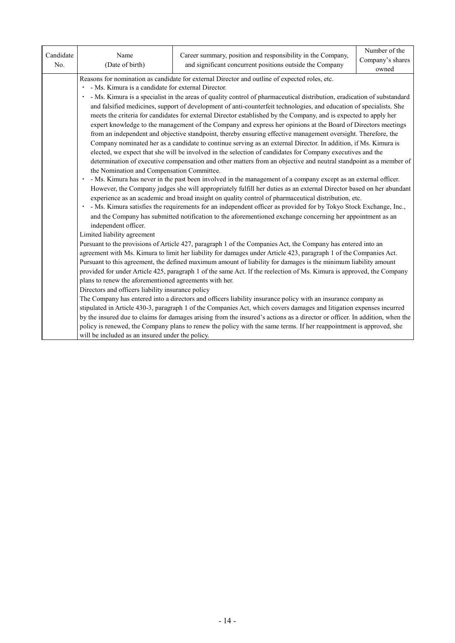| Candidate<br>No. | Name<br>(Date of birth)                                                                                                                                                                                                                                                                                                                                                                                                                                                                                                                                                                                                                                                                                                                                                                                                                                                                                                                                                                                                                                                                                                                                                                                                                                                                                                                                                                                                                                                                                                                                                                                                                  | Career summary, position and responsibility in the Company,<br>and significant concurrent positions outside the Company                                                                                                                                                                                                                                                                                                                                                                     | Number of the<br>Company's shares<br>owned |  |  |  |  |
|------------------|------------------------------------------------------------------------------------------------------------------------------------------------------------------------------------------------------------------------------------------------------------------------------------------------------------------------------------------------------------------------------------------------------------------------------------------------------------------------------------------------------------------------------------------------------------------------------------------------------------------------------------------------------------------------------------------------------------------------------------------------------------------------------------------------------------------------------------------------------------------------------------------------------------------------------------------------------------------------------------------------------------------------------------------------------------------------------------------------------------------------------------------------------------------------------------------------------------------------------------------------------------------------------------------------------------------------------------------------------------------------------------------------------------------------------------------------------------------------------------------------------------------------------------------------------------------------------------------------------------------------------------------|---------------------------------------------------------------------------------------------------------------------------------------------------------------------------------------------------------------------------------------------------------------------------------------------------------------------------------------------------------------------------------------------------------------------------------------------------------------------------------------------|--------------------------------------------|--|--|--|--|
|                  | Reasons for nomination as candidate for external Director and outline of expected roles, etc.<br>· - Ms. Kimura is a candidate for external Director.<br>- Ms. Kimura is a specialist in the areas of quality control of pharmaceutical distribution, eradication of substandard<br>and falsified medicines, support of development of anti-counterfeit technologies, and education of specialists. She<br>meets the criteria for candidates for external Director established by the Company, and is expected to apply her<br>expert knowledge to the management of the Company and express her opinions at the Board of Directors meetings<br>from an independent and objective standpoint, thereby ensuring effective management oversight. Therefore, the<br>Company nominated her as a candidate to continue serving as an external Director. In addition, if Ms. Kimura is<br>elected, we expect that she will be involved in the selection of candidates for Company executives and the<br>determination of executive compensation and other matters from an objective and neutral standpoint as a member of<br>the Nomination and Compensation Committee.<br>· - Ms. Kimura has never in the past been involved in the management of a company except as an external officer.<br>However, the Company judges she will appropriately fulfill her duties as an external Director based on her abundant<br>experience as an academic and broad insight on quality control of pharmaceutical distribution, etc.<br>- Ms. Kimura satisfies the requirements for an independent officer as provided for by Tokyo Stock Exchange, Inc., |                                                                                                                                                                                                                                                                                                                                                                                                                                                                                             |                                            |  |  |  |  |
|                  | independent officer.<br>Limited liability agreement<br>Pursuant to the provisions of Article 427, paragraph 1 of the Companies Act, the Company has entered into an<br>agreement with Ms. Kimura to limit her liability for damages under Article 423, paragraph 1 of the Companies Act.<br>Pursuant to this agreement, the defined maximum amount of liability for damages is the minimum liability amount<br>provided for under Article 425, paragraph 1 of the same Act. If the reelection of Ms. Kimura is approved, the Company<br>plans to renew the aforementioned agreements with her.                                                                                                                                                                                                                                                                                                                                                                                                                                                                                                                                                                                                                                                                                                                                                                                                                                                                                                                                                                                                                                           |                                                                                                                                                                                                                                                                                                                                                                                                                                                                                             |                                            |  |  |  |  |
|                  | Directors and officers liability insurance policy<br>will be included as an insured under the policy.                                                                                                                                                                                                                                                                                                                                                                                                                                                                                                                                                                                                                                                                                                                                                                                                                                                                                                                                                                                                                                                                                                                                                                                                                                                                                                                                                                                                                                                                                                                                    | The Company has entered into a directors and officers liability insurance policy with an insurance company as<br>stipulated in Article 430-3, paragraph 1 of the Companies Act, which covers damages and litigation expenses incurred<br>by the insured due to claims for damages arising from the insured's actions as a director or officer. In addition, when the<br>policy is renewed, the Company plans to renew the policy with the same terms. If her reappointment is approved, she |                                            |  |  |  |  |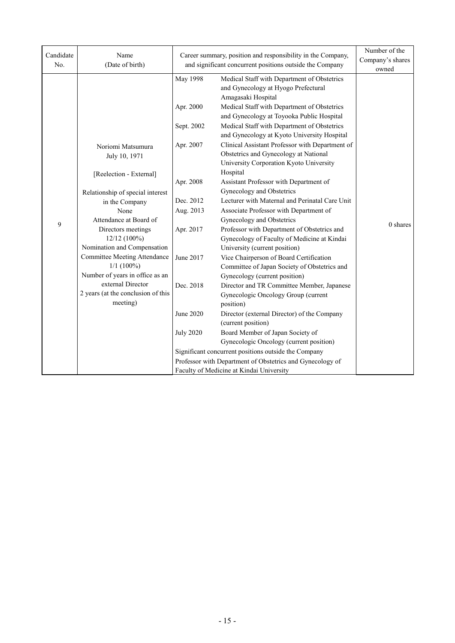| Candidate<br>No. | Name<br>(Date of birth)            |                  | Career summary, position and responsibility in the Company,<br>and significant concurrent positions outside the Company             | Number of the<br>Company's shares<br>owned |
|------------------|------------------------------------|------------------|-------------------------------------------------------------------------------------------------------------------------------------|--------------------------------------------|
|                  |                                    | May 1998         | Medical Staff with Department of Obstetrics<br>and Gynecology at Hyogo Prefectural<br>Amagasaki Hospital                            |                                            |
|                  |                                    | Apr. 2000        | Medical Staff with Department of Obstetrics<br>and Gynecology at Toyooka Public Hospital                                            |                                            |
|                  |                                    | Sept. 2002       | Medical Staff with Department of Obstetrics<br>and Gynecology at Kyoto University Hospital                                          |                                            |
|                  | Noriomi Matsumura<br>July 10, 1971 | Apr. 2007        | Clinical Assistant Professor with Department of<br>Obstetrics and Gynecology at National<br>University Corporation Kyoto University |                                            |
|                  | [Reelection - External]            | Apr. 2008        | Hospital<br>Assistant Professor with Department of                                                                                  |                                            |
|                  | Relationship of special interest   |                  | Gynecology and Obstetrics                                                                                                           |                                            |
|                  | in the Company                     | Dec. 2012        | Lecturer with Maternal and Perinatal Care Unit                                                                                      |                                            |
|                  | None                               | Aug. 2013        | Associate Professor with Department of                                                                                              |                                            |
| 9                | Attendance at Board of             |                  | Gynecology and Obstetrics                                                                                                           | $0$ shares                                 |
|                  | Directors meetings                 | Apr. 2017        | Professor with Department of Obstetrics and                                                                                         |                                            |
|                  | 12/12 (100%)                       |                  | Gynecology of Faculty of Medicine at Kindai                                                                                         |                                            |
|                  | Nomination and Compensation        |                  | University (current position)                                                                                                       |                                            |
|                  | Committee Meeting Attendance       | June 2017        | Vice Chairperson of Board Certification                                                                                             |                                            |
|                  | $1/1$ (100%)                       |                  | Committee of Japan Society of Obstetrics and                                                                                        |                                            |
|                  | Number of years in office as an    |                  | Gynecology (current position)                                                                                                       |                                            |
|                  | external Director                  | Dec. 2018        | Director and TR Committee Member, Japanese                                                                                          |                                            |
|                  | 2 years (at the conclusion of this |                  | Gynecologic Oncology Group (current                                                                                                 |                                            |
|                  | meeting)                           |                  | position)                                                                                                                           |                                            |
|                  |                                    | June 2020        | Director (external Director) of the Company                                                                                         |                                            |
|                  |                                    |                  | (current position)                                                                                                                  |                                            |
|                  |                                    | <b>July 2020</b> | Board Member of Japan Society of                                                                                                    |                                            |
|                  |                                    |                  | Gynecologic Oncology (current position)                                                                                             |                                            |
|                  |                                    |                  | Significant concurrent positions outside the Company                                                                                |                                            |
|                  |                                    |                  | Professor with Department of Obstetrics and Gynecology of                                                                           |                                            |
|                  |                                    |                  | Faculty of Medicine at Kindai University                                                                                            |                                            |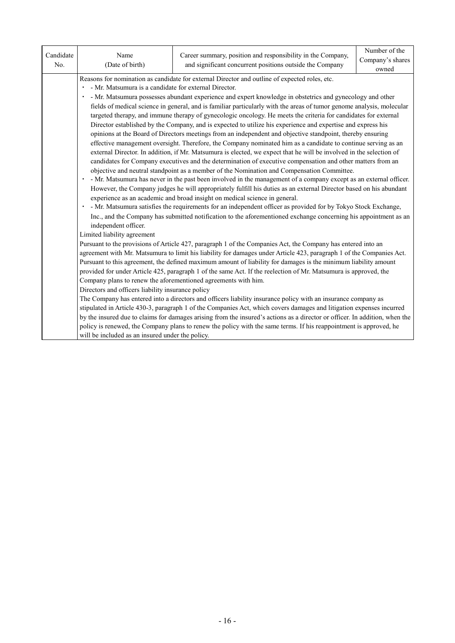| Candidate<br>No. | Name<br>(Date of birth)                                                                                                                                                                                                                                                                                                                                                                                                                                                                                                                                                                                                                                                                                                                                                                                                                                                                                                                                                                                                                                                                                                                                                                                                                                                                                                                                                                                                                                                                                                                                                                                                                                                                                                                                                                     | Career summary, position and responsibility in the Company,<br>and significant concurrent positions outside the Company | Number of the<br>Company's shares<br>owned |  |  |  |  |  |
|------------------|---------------------------------------------------------------------------------------------------------------------------------------------------------------------------------------------------------------------------------------------------------------------------------------------------------------------------------------------------------------------------------------------------------------------------------------------------------------------------------------------------------------------------------------------------------------------------------------------------------------------------------------------------------------------------------------------------------------------------------------------------------------------------------------------------------------------------------------------------------------------------------------------------------------------------------------------------------------------------------------------------------------------------------------------------------------------------------------------------------------------------------------------------------------------------------------------------------------------------------------------------------------------------------------------------------------------------------------------------------------------------------------------------------------------------------------------------------------------------------------------------------------------------------------------------------------------------------------------------------------------------------------------------------------------------------------------------------------------------------------------------------------------------------------------|-------------------------------------------------------------------------------------------------------------------------|--------------------------------------------|--|--|--|--|--|
|                  | Reasons for nomination as candidate for external Director and outline of expected roles, etc.<br>· - Mr. Matsumura is a candidate for external Director.<br>- Mr. Matsumura possesses abundant experience and expert knowledge in obstetrics and gynecology and other<br>fields of medical science in general, and is familiar particularly with the areas of tumor genome analysis, molecular<br>targeted therapy, and immune therapy of gynecologic oncology. He meets the criteria for candidates for external<br>Director established by the Company, and is expected to utilize his experience and expertise and express his<br>opinions at the Board of Directors meetings from an independent and objective standpoint, thereby ensuring<br>effective management oversight. Therefore, the Company nominated him as a candidate to continue serving as an<br>external Director. In addition, if Mr. Matsumura is elected, we expect that he will be involved in the selection of<br>candidates for Company executives and the determination of executive compensation and other matters from an<br>objective and neutral standpoint as a member of the Nomination and Compensation Committee.<br>- Mr. Matsumura has never in the past been involved in the management of a company except as an external officer.<br>However, the Company judges he will appropriately fulfill his duties as an external Director based on his abundant<br>experience as an academic and broad insight on medical science in general.<br>- Mr. Matsumura satisfies the requirements for an independent officer as provided for by Tokyo Stock Exchange,<br>Inc., and the Company has submitted notification to the aforementioned exchange concerning his appointment as an<br>independent officer. |                                                                                                                         |                                            |  |  |  |  |  |
|                  |                                                                                                                                                                                                                                                                                                                                                                                                                                                                                                                                                                                                                                                                                                                                                                                                                                                                                                                                                                                                                                                                                                                                                                                                                                                                                                                                                                                                                                                                                                                                                                                                                                                                                                                                                                                             |                                                                                                                         |                                            |  |  |  |  |  |
|                  | Limited liability agreement<br>Pursuant to the provisions of Article 427, paragraph 1 of the Companies Act, the Company has entered into an<br>agreement with Mr. Matsumura to limit his liability for damages under Article 423, paragraph 1 of the Companies Act.<br>Pursuant to this agreement, the defined maximum amount of liability for damages is the minimum liability amount<br>provided for under Article 425, paragraph 1 of the same Act. If the reelection of Mr. Matsumura is approved, the<br>Company plans to renew the aforementioned agreements with him.<br>Directors and officers liability insurance policy<br>The Company has entered into a directors and officers liability insurance policy with an insurance company as<br>stipulated in Article 430-3, paragraph 1 of the Companies Act, which covers damages and litigation expenses incurred<br>by the insured due to claims for damages arising from the insured's actions as a director or officer. In addition, when the<br>policy is renewed, the Company plans to renew the policy with the same terms. If his reappointment is approved, he                                                                                                                                                                                                                                                                                                                                                                                                                                                                                                                                                                                                                                                             |                                                                                                                         |                                            |  |  |  |  |  |
|                  | will be included as an insured under the policy.                                                                                                                                                                                                                                                                                                                                                                                                                                                                                                                                                                                                                                                                                                                                                                                                                                                                                                                                                                                                                                                                                                                                                                                                                                                                                                                                                                                                                                                                                                                                                                                                                                                                                                                                            |                                                                                                                         |                                            |  |  |  |  |  |